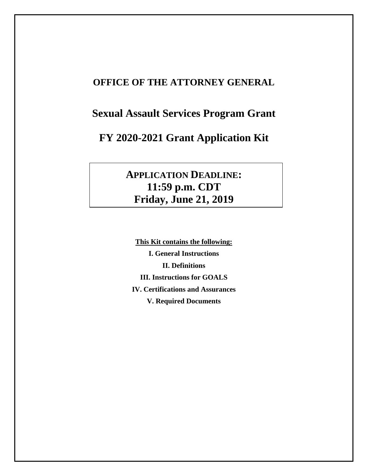## **OFFICE OF THE ATTORNEY GENERAL**

# **Sexual Assault Services Program Grant**

# **FY 2020-2021 Grant Application Kit**

# **APPLICATION DEADLINE: 11:59 p.m. CDT Friday, June 21, 2019**

**This Kit contains the following: I. General Instructions II. Definitions III. Instructions for GOALS IV. Certifications and Assurances V. Required Documents**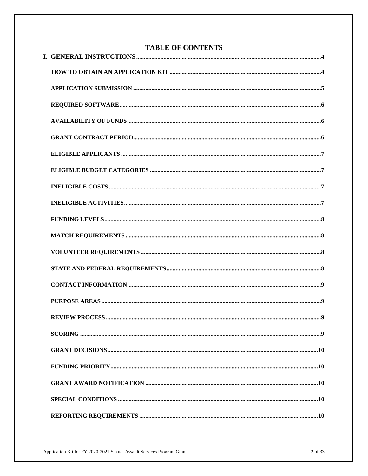| <b>TABLE OF CONTENTS</b> |  |  |
|--------------------------|--|--|
|                          |  |  |
|                          |  |  |
|                          |  |  |
|                          |  |  |
|                          |  |  |
|                          |  |  |
|                          |  |  |
|                          |  |  |
|                          |  |  |
|                          |  |  |
|                          |  |  |
|                          |  |  |
|                          |  |  |
|                          |  |  |
|                          |  |  |
|                          |  |  |
|                          |  |  |
|                          |  |  |
|                          |  |  |
|                          |  |  |
|                          |  |  |
|                          |  |  |
|                          |  |  |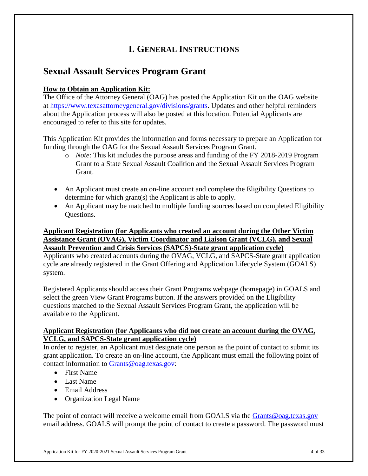## **I. GENERAL INSTRUCTIONS**

## **Sexual Assault Services Program Grant**

## **How to Obtain an Application Kit:**

The Office of the Attorney General (OAG) has posted the Application Kit on the OAG website at [https://www.texasattorneygeneral.gov/divisions/grants.](https://www.texasattorneygeneral.gov/divisions/grants) Updates and other helpful reminders about the Application process will also be posted at this location. Potential Applicants are encouraged to refer to this site for updates.

This Application Kit provides the information and forms necessary to prepare an Application for funding through the OAG for the Sexual Assault Services Program Grant.

- o *Note*: This kit includes the purpose areas and funding of the FY 2018-2019 Program Grant to a State Sexual Assault Coalition and the Sexual Assault Services Program Grant.
- An Applicant must create an on-line account and complete the Eligibility Questions to determine for which grant(s) the Applicant is able to apply.
- An Applicant may be matched to multiple funding sources based on completed Eligibility Questions.

## **Applicant Registration (for Applicants who created an account during the Other Victim Assistance Grant (OVAG), Victim Coordinator and Liaison Grant (VCLG), and Sexual Assault Prevention and Crisis Services (SAPCS)-State grant application cycle)**

Applicants who created accounts during the OVAG, VCLG, and SAPCS-State grant application cycle are already registered in the Grant Offering and Application Lifecycle System (GOALS) system.

Registered Applicants should access their Grant Programs webpage (homepage) in GOALS and select the green View Grant Programs button. If the answers provided on the Eligibility questions matched to the Sexual Assault Services Program Grant, the application will be available to the Applicant.

## **Applicant Registration (for Applicants who did not create an account during the OVAG, VCLG, and SAPCS-State grant application cycle)**

In order to register, an Applicant must designate one person as the point of contact to submit its grant application. To create an on-line account, the Applicant must email the following point of contact information to [Grants@oag.texas.gov:](mailto:Grants@oag.texas.gov)

- First Name
- Last Name
- Email Address
- Organization Legal Name

The point of contact will receive a welcome email from GOALS via the [Grants@oag.texas.gov](mailto:Grants@oag.texas.gov) email address. GOALS will prompt the point of contact to create a password. The password must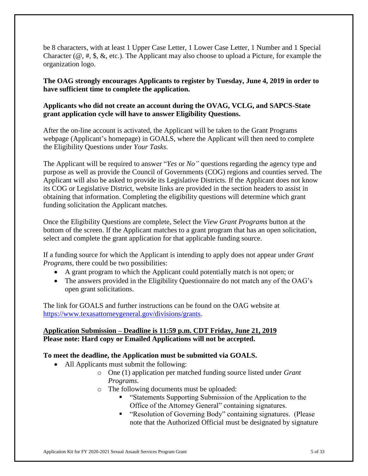be 8 characters, with at least 1 Upper Case Letter, 1 Lower Case Letter, 1 Number and 1 Special Character (@, #, \$, &, etc.). The Applicant may also choose to upload a Picture, for example the organization logo.

**The OAG strongly encourages Applicants to register by Tuesday, June 4, 2019 in order to have sufficient time to complete the application.** 

## **Applicants who did not create an account during the OVAG, VCLG, and SAPCS-State grant application cycle will have to answer Eligibility Questions.**

After the on-line account is activated, the Applicant will be taken to the Grant Programs webpage (Applicant's homepage) in GOALS, where the Applicant will then need to complete the Eligibility Questions under *Your Tasks*.

The Applicant will be required to answer "*Yes* or *No"* questions regarding the agency type and purpose as well as provide the Council of Governments (COG) regions and counties served. The Applicant will also be asked to provide its Legislative Districts. If the Applicant does not know its COG or Legislative District, website links are provided in the section headers to assist in obtaining that information. Completing the eligibility questions will determine which grant funding solicitation the Applicant matches.

Once the Eligibility Questions are complete, Select the *View Grant Programs* button at the bottom of the screen. If the Applicant matches to a grant program that has an open solicitation, select and complete the grant application for that applicable funding source.

If a funding source for which the Applicant is intending to apply does not appear under *Grant Programs*, there could be two possibilities:

- A grant program to which the Applicant could potentially match is not open; or
- The answers provided in the Eligibility Questionnaire do not match any of the OAG's open grant solicitations.

The link for GOALS and further instructions can be found on the OAG website at [https://www.texasattorneygeneral.gov/divisions/grants.](https://www.texasattorneygeneral.gov/divisions/grants)

### **Application Submission – Deadline is 11:59 p.m. CDT Friday, June 21, 2019 Please note: Hard copy or Emailed Applications will not be accepted.**

### **To meet the deadline, the Application must be submitted via GOALS.**

- All Applicants must submit the following:
	- o One (1) application per matched funding source listed under *Grant Programs*.
	- o The following documents must be uploaded:
		- "Statements Supporting Submission of the Application to the Office of the Attorney General" containing signatures.
		- "Resolution of Governing Body" containing signatures. (Please note that the Authorized Official must be designated by signature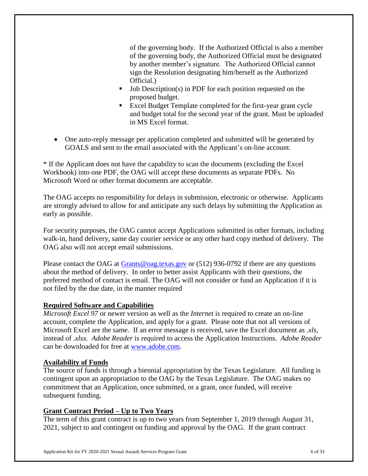of the governing body. If the Authorized Official is also a member of the governing body, the Authorized Official must be designated by another member's signature. The Authorized Official cannot sign the Resolution designating him/herself as the Authorized Official.)

- Job Description(s) in PDF for each position requested on the proposed budget.
- Excel Budget Template completed for the first-year grant cycle and budget total for the second year of the grant. Must be uploaded in MS Excel format.
- One auto-reply message per application completed and submitted will be generated by GOALS and sent to the email associated with the Applicant's on-line account.

\* If the Applicant does not have the capability to scan the documents (excluding the Excel Workbook) into one PDF, the OAG will accept these documents as separate PDFs. No Microsoft Word or other format documents are acceptable.

The OAG accepts no responsibility for delays in submission, electronic or otherwise. Applicants are strongly advised to allow for and anticipate any such delays by submitting the Application as early as possible.

For security purposes, the OAG cannot accept Applications submitted in other formats, including walk-in, hand delivery, same day courier service or any other hard copy method of delivery. The OAG also will not accept email submissions.

Please contact the OAG at [Grants@oag.texas.gov](mailto:Grants@oag.texas.gov) or (512) 936-0792 if there are any questions about the method of delivery. In order to better assist Applicants with their questions, the preferred method of contact is email. The OAG will not consider or fund an Application if it is not filed by the due date, in the manner required

## **Required Software and Capabilities**

*Microsoft Excel 97* or newer version as well as the *Internet* is required to create an on-line account, complete the Application, and apply for a grant. Please note that not all versions of Microsoft Excel are the same. If an error message is received, save the Excel document as *.xls*, instead of .*xlsx. Adobe Reader* is required to access the Application Instructions. *Adobe Reader* can be downloaded for free at [www.adobe.com.](http://www.adobe.com/)

### **Availability of Funds**

The source of funds is through a biennial appropriation by the Texas Legislature. All funding is contingent upon an appropriation to the OAG by the Texas Legislature. The OAG makes no commitment that an Application, once submitted, or a grant, once funded, will receive subsequent funding.

## **Grant Contract Period – Up to Two Years**

The term of this grant contract is up to two years from September 1, 2019 through August 31, 2021, subject to and contingent on funding and approval by the OAG. If the grant contract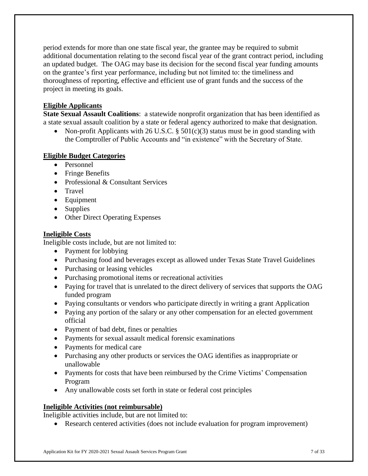period extends for more than one state fiscal year, the grantee may be required to submit additional documentation relating to the second fiscal year of the grant contract period, including an updated budget. The OAG may base its decision for the second fiscal year funding amounts on the grantee's first year performance, including but not limited to: the timeliness and thoroughness of reporting, effective and efficient use of grant funds and the success of the project in meeting its goals.

## **Eligible Applicants**

**State Sexual Assault Coalitions**: a statewide nonprofit organization that has been identified as a state sexual assault coalition by a state or federal agency authorized to make that designation.

• Non-profit Applicants with 26 U.S.C. §  $501(c)(3)$  status must be in good standing with the Comptroller of Public Accounts and "in existence" with the Secretary of State.

## **Eligible Budget Categories**

- Personnel
- Fringe Benefits
- Professional & Consultant Services
- Travel
- Equipment
- Supplies
- Other Direct Operating Expenses

### **Ineligible Costs**

Ineligible costs include, but are not limited to:

- Payment for lobbying
- Purchasing food and beverages except as allowed under Texas State Travel Guidelines
- Purchasing or leasing vehicles
- Purchasing promotional items or recreational activities
- Paying for travel that is unrelated to the direct delivery of services that supports the OAG funded program
- Paying consultants or vendors who participate directly in writing a grant Application
- Paying any portion of the salary or any other compensation for an elected government official
- Payment of bad debt, fines or penalties
- Payments for sexual assault medical forensic examinations
- Payments for medical care
- Purchasing any other products or services the OAG identifies as inappropriate or unallowable
- Payments for costs that have been reimbursed by the Crime Victims' Compensation Program
- Any unallowable costs set forth in state or federal cost principles

### **Ineligible Activities (not reimbursable)**

Ineligible activities include, but are not limited to:

Research centered activities (does not include evaluation for program improvement)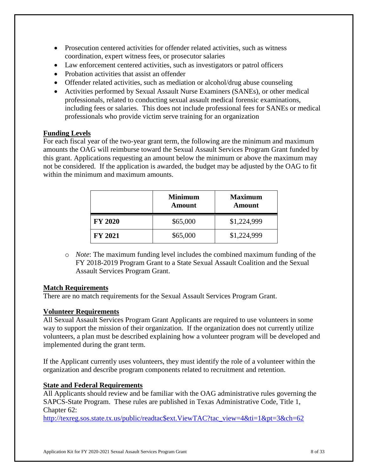- Prosecution centered activities for offender related activities, such as witness coordination, expert witness fees, or prosecutor salaries
- Law enforcement centered activities, such as investigators or patrol officers
- Probation activities that assist an offender
- Offender related activities, such as mediation or alcohol/drug abuse counseling
- Activities performed by Sexual Assault Nurse Examiners (SANEs), or other medical professionals, related to conducting sexual assault medical forensic examinations, including fees or salaries. This does not include professional fees for SANEs or medical professionals who provide victim serve training for an organization

### **Funding Levels**

For each fiscal year of the two-year grant term, the following are the minimum and maximum amounts the OAG will reimburse toward the Sexual Assault Services Program Grant funded by this grant. Applications requesting an amount below the minimum or above the maximum may not be considered. If the application is awarded, the budget may be adjusted by the OAG to fit within the minimum and maximum amounts.

|                | <b>Minimum</b><br><b>Amount</b> | <b>Maximum</b><br>Amount |
|----------------|---------------------------------|--------------------------|
| <b>FY 2020</b> | \$65,000                        | \$1,224,999              |
| <b>FY 2021</b> | \$65,000                        | \$1,224,999              |

o *Note*: The maximum funding level includes the combined maximum funding of the FY 2018-2019 Program Grant to a State Sexual Assault Coalition and the Sexual Assault Services Program Grant.

### **Match Requirements**

There are no match requirements for the Sexual Assault Services Program Grant.

### **Volunteer Requirements**

All Sexual Assault Services Program Grant Applicants are required to use volunteers in some way to support the mission of their organization. If the organization does not currently utilize volunteers, a plan must be described explaining how a volunteer program will be developed and implemented during the grant term.

If the Applicant currently uses volunteers, they must identify the role of a volunteer within the organization and describe program components related to recruitment and retention.

### **State and Federal Requirements**

All Applicants should review and be familiar with the OAG administrative rules governing the SAPCS-State Program. These rules are published in Texas Administrative Code, Title 1, Chapter 62:

[http://texreg.sos.state.tx.us/public/readtac\\$ext.ViewTAC?tac\\_view=4&ti=1&pt=3&ch=62](http://texreg.sos.state.tx.us/public/readtac$ext.ViewTAC?tac_view=4&ti=1&pt=3&ch=62)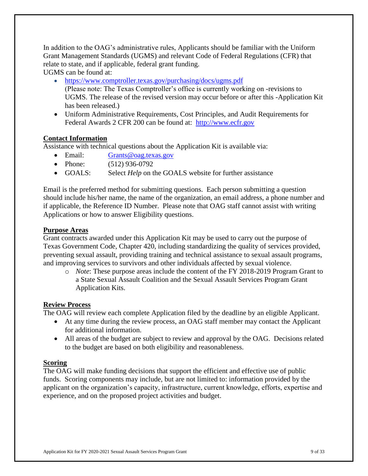In addition to the OAG's administrative rules, Applicants should be familiar with the Uniform Grant Management Standards (UGMS) and relevant Code of Federal Regulations (CFR) that relate to state, and if applicable, federal grant funding.

UGMS can be found at:

- <https://www.comptroller.texas.gov/purchasing/docs/ugms.pdf> (Please note: The Texas Comptroller's office is currently working on -revisions to UGMS. The release of the revised version may occur before or after this -Application Kit has been released.)
- Uniform Administrative Requirements, Cost Principles, and Audit Requirements for Federal Awards 2 CFR 200 can be found at: [http://www.ecfr.gov](http://www.ecfr.gov/)

## **Contact Information**

Assistance with technical questions about the Application Kit is available via:

- Email: Grants@oag.texas.gov
- Phone: (512) 936-0792
- GOALS: Select *Help* on the GOALS website for further assistance

Email is the preferred method for submitting questions. Each person submitting a question should include his/her name, the name of the organization, an email address, a phone number and if applicable, the Reference ID Number. Please note that OAG staff cannot assist with writing Applications or how to answer Eligibility questions.

### **Purpose Areas**

Grant contracts awarded under this Application Kit may be used to carry out the purpose of Texas Government Code, Chapter 420, including standardizing the quality of services provided, preventing sexual assault, providing training and technical assistance to sexual assault programs, and improving services to survivors and other individuals affected by sexual violence.

o *Note*: These purpose areas include the content of the FY 2018-2019 Program Grant to a State Sexual Assault Coalition and the Sexual Assault Services Program Grant Application Kits.

### **Review Process**

The OAG will review each complete Application filed by the deadline by an eligible Applicant.

- At any time during the review process, an OAG staff member may contact the Applicant for additional information.
- All areas of the budget are subject to review and approval by the OAG. Decisions related to the budget are based on both eligibility and reasonableness.

### **Scoring**

The OAG will make funding decisions that support the efficient and effective use of public funds. Scoring components may include, but are not limited to: information provided by the applicant on the organization's capacity, infrastructure, current knowledge, efforts, expertise and experience, and on the proposed project activities and budget.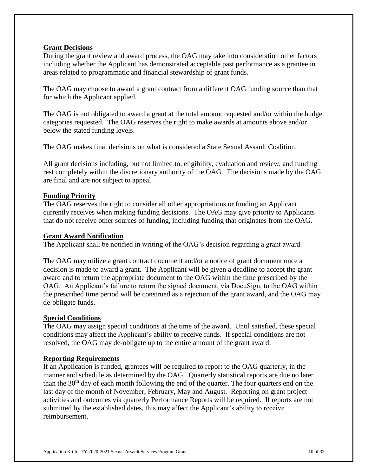### **Grant Decisions**

During the grant review and award process, the OAG may take into consideration other factors including whether the Applicant has demonstrated acceptable past performance as a grantee in areas related to programmatic and financial stewardship of grant funds.

The OAG may choose to award a grant contract from a different OAG funding source than that for which the Applicant applied.

The OAG is not obligated to award a grant at the total amount requested and/or within the budget categories requested. The OAG reserves the right to make awards at amounts above and/or below the stated funding levels.

The OAG makes final decisions on what is considered a State Sexual Assault Coalition.

All grant decisions including, but not limited to, eligibility, evaluation and review, and funding rest completely within the discretionary authority of the OAG. The decisions made by the OAG are final and are not subject to appeal.

### **Funding Priority**

The OAG reserves the right to consider all other appropriations or funding an Applicant currently receives when making funding decisions. The OAG may give priority to Applicants that do not receive other sources of funding, including funding that originates from the OAG.

## **Grant Award Notification**

The Applicant shall be notified in writing of the OAG's decision regarding a grant award.

The OAG may utilize a grant contract document and/or a notice of grant document once a decision is made to award a grant. The Applicant will be given a deadline to accept the grant award and to return the appropriate document to the OAG within the time prescribed by the OAG. An Applicant's failure to return the signed document, via DocuSign, to the OAG within the prescribed time period will be construed as a rejection of the grant award, and the OAG may de-obligate funds.

### **Special Conditions**

The OAG may assign special conditions at the time of the award. Until satisfied, these special conditions may affect the Applicant's ability to receive funds. If special conditions are not resolved, the OAG may de-obligate up to the entire amount of the grant award.

### **Reporting Requirements**

If an Application is funded, grantees will be required to report to the OAG quarterly, in the manner and schedule as determined by the OAG. Quarterly statistical reports are due no later than the  $30<sup>th</sup>$  day of each month following the end of the quarter. The four quarters end on the last day of the month of November, February, May and August. Reporting on grant project activities and outcomes via quarterly Performance Reports will be required. If reports are not submitted by the established dates, this may affect the Applicant's ability to receive reimbursement.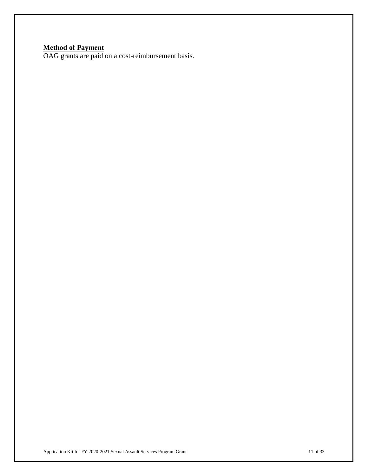#### **Method of Payment**

OAG grants are paid on a cost-reimbursement basis.

Application Kit for FY 2020-2021 Sexual Assault Services Program Grant 11 Of 33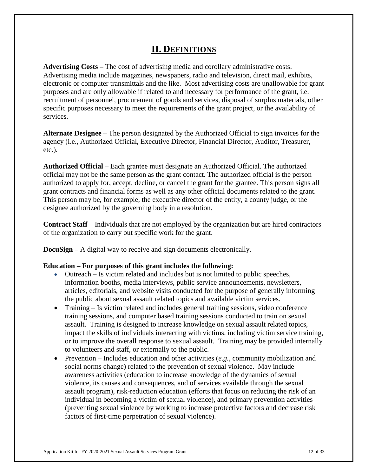## **II. DEFINITIONS**

**Advertising Costs –** The cost of advertising media and corollary administrative costs. Advertising media include magazines, newspapers, radio and television, direct mail, exhibits, electronic or computer transmittals and the like. Most advertising costs are unallowable for grant purposes and are only allowable if related to and necessary for performance of the grant, i.e. recruitment of personnel, procurement of goods and services, disposal of surplus materials, other specific purposes necessary to meet the requirements of the grant project, or the availability of services.

**Alternate Designee –** The person designated by the Authorized Official to sign invoices for the agency (i.e., Authorized Official, Executive Director, Financial Director, Auditor, Treasurer, etc.).

**Authorized Official –** Each grantee must designate an Authorized Official. The authorized official may not be the same person as the grant contact. The authorized official is the person authorized to apply for, accept, decline, or cancel the grant for the grantee. This person signs all grant contracts and financial forms as well as any other official documents related to the grant. This person may be, for example, the executive director of the entity, a county judge, or the designee authorized by the governing body in a resolution.

**Contract Staff –** Individuals that are not employed by the organization but are hired contractors of the organization to carry out specific work for the grant.

**DocuSign** – A digital way to receive and sign documents electronically.

#### **Education – For purposes of this grant includes the following:**

- Outreach Is victim related and includes but is not limited to public speeches, information booths, media interviews, public service announcements, newsletters, articles, editorials, and website visits conducted for the purpose of generally informing the public about sexual assault related topics and available victim services.
- Training Is victim related and includes general training sessions, video conference training sessions, and computer based training sessions conducted to train on sexual assault. Training is designed to increase knowledge on sexual assault related topics, impact the skills of individuals interacting with victims, including victim service training, or to improve the overall response to sexual assault. Training may be provided internally to volunteers and staff, or externally to the public.
- Prevention Includes education and other activities (*e.g.,* community mobilization and social norms change) related to the prevention of sexual violence. May include awareness activities (education to increase knowledge of the dynamics of sexual violence, its causes and consequences, and of services available through the sexual assault program), risk-reduction education (efforts that focus on reducing the risk of an individual in becoming a victim of sexual violence), and primary prevention activities (preventing sexual violence by working to increase protective factors and decrease risk factors of first-time perpetration of sexual violence).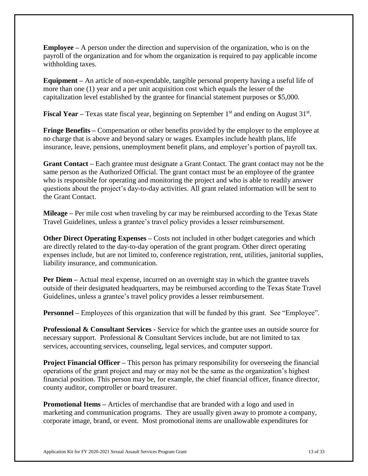**Employee –** A person under the direction and supervision of the organization, who is on the payroll of the organization and for whom the organization is required to pay applicable income withholding taxes.

**Equipment –** An article of non-expendable, tangible personal property having a useful life of more than one (1) year and a per unit acquisition cost which equals the lesser of the capitalization level established by the grantee for financial statement purposes or \$5,000.

**Fiscal Year** – Texas state fiscal year, beginning on September 1<sup>st</sup> and ending on August 31<sup>st</sup>.

**Fringe Benefits –** Compensation or other benefits provided by the employer to the employee at no charge that is above and beyond salary or wages. Examples include health plans, life insurance, leave, pensions, unemployment benefit plans, and employer's portion of payroll tax.

**Grant Contact –** Each grantee must designate a Grant Contact. The grant contact may not be the same person as the Authorized Official. The grant contact must be an employee of the grantee who is responsible for operating and monitoring the project and who is able to readily answer questions about the project's day-to-day activities. All grant related information will be sent to the Grant Contact.

**Mileage –** Per mile cost when traveling by car may be reimbursed according to the Texas State Travel Guidelines, unless a grantee's travel policy provides a lesser reimbursement.

**Other Direct Operating Expenses – Costs not included in other budget categories and which** are directly related to the day-to-day operation of the grant program. Other direct operating expenses include, but are not limited to, conference registration, rent, utilities, janitorial supplies, liability insurance, and communication.

**Per Diem** – Actual meal expense, incurred on an overnight stay in which the grantee travels outside of their designated headquarters, may be reimbursed according to the Texas State Travel Guidelines, unless a grantee's travel policy provides a lesser reimbursement.

**Personnel** – Employees of this organization that will be funded by this grant. See "Employee".

**Professional & Consultant Services -** Service for which the grantee uses an outside source for necessary support. Professional & Consultant Services include, but are not limited to tax services, accounting services, counseling, legal services, and computer support.

**Project Financial Officer** – This person has primary responsibility for overseeing the financial operations of the grant project and may or may not be the same as the organization's highest financial position. This person may be, for example, the chief financial officer, finance director, county auditor, comptroller or board treasurer.

**Promotional Items** – Articles of merchandise that are branded with a logo and used in marketing and communication programs. They are usually given away to promote a company, corporate image, brand, or event. Most promotional items are unallowable expenditures for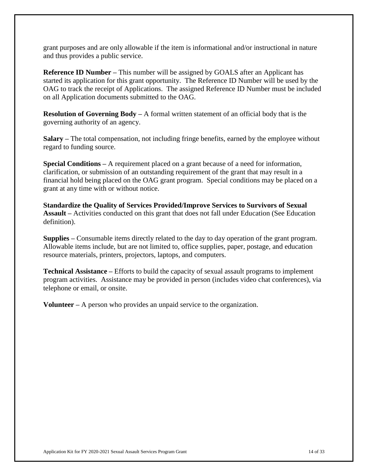grant purposes and are only allowable if the item is informational and/or instructional in nature and thus provides a public service.

**Reference ID Number –** This number will be assigned by GOALS after an Applicant has started its application for this grant opportunity. The Reference ID Number will be used by the OAG to track the receipt of Applications. The assigned Reference ID Number must be included on all Application documents submitted to the OAG.

**Resolution of Governing Body –** A formal written statement of an official body that is the governing authority of an agency.

**Salary –** The total compensation, not including fringe benefits, earned by the employee without regard to funding source.

**Special Conditions –** A requirement placed on a grant because of a need for information, clarification, or submission of an outstanding requirement of the grant that may result in a financial hold being placed on the OAG grant program. Special conditions may be placed on a grant at any time with or without notice.

**Standardize the Quality of Services Provided/Improve Services to Survivors of Sexual Assault –** Activities conducted on this grant that does not fall under Education (See Education definition).

**Supplies –** Consumable items directly related to the day to day operation of the grant program. Allowable items include, but are not limited to, office supplies, paper, postage, and education resource materials, printers, projectors, laptops, and computers.

**Technical Assistance –** Efforts to build the capacity of sexual assault programs to implement program activities. Assistance may be provided in person (includes video chat conferences), via telephone or email, or onsite.

**Volunteer –** A person who provides an unpaid service to the organization.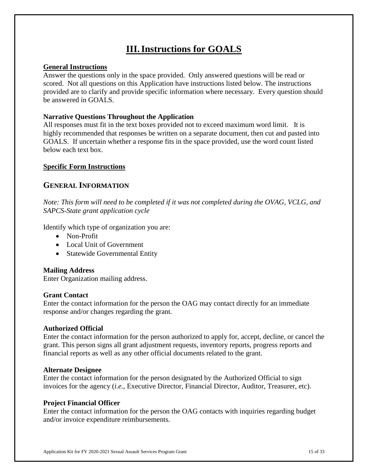# **III.Instructions for GOALS**

### **General Instructions**

Answer the questions only in the space provided. Only answered questions will be read or scored. Not all questions on this Application have instructions listed below. The instructions provided are to clarify and provide specific information where necessary. Every question should be answered in GOALS.

#### **Narrative Questions Throughout the Application**

All responses must fit in the text boxes provided not to exceed maximum word limit. It is highly recommended that responses be written on a separate document, then cut and pasted into GOALS. If uncertain whether a response fits in the space provided, use the word count listed below each text box.

### **Specific Form Instructions**

## **GENERAL INFORMATION**

*Note: This form will need to be completed if it was not completed during the OVAG, VCLG, and SAPCS-State grant application cycle*

Identify which type of organization you are:

- Non-Profit
- Local Unit of Government
- Statewide Governmental Entity

#### **Mailing Address**

Enter Organization mailing address.

#### **Grant Contact**

Enter the contact information for the person the OAG may contact directly for an immediate response and/or changes regarding the grant.

#### **Authorized Official**

Enter the contact information for the person authorized to apply for, accept, decline, or cancel the grant. This person signs all grant adjustment requests, inventory reports, progress reports and financial reports as well as any other official documents related to the grant.

#### **Alternate Designee**

Enter the contact information for the person designated by the Authorized Official to sign invoices for the agency (*i.e.,* Executive Director, Financial Director, Auditor, Treasurer, etc).

#### **Project Financial Officer**

Enter the contact information for the person the OAG contacts with inquiries regarding budget and/or invoice expenditure reimbursements.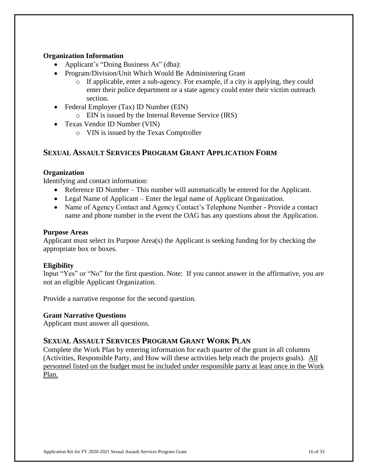### **Organization Information**

- Applicant's "Doing Business As" (dba):
- Program/Division/Unit Which Would Be Administering Grant
	- o If applicable, enter a sub-agency. For example, if a city is applying, they could enter their police department or a state agency could enter their victim outreach section.
- Federal Employer (Tax) ID Number (EIN)
	- o EIN is issued by the Internal Revenue Service (IRS)
- Texas Vendor ID Number (VIN)
	- o VIN is issued by the Texas Comptroller

## **SEXUAL ASSAULT SERVICES PROGRAM GRANT APPLICATION FORM**

### **Organization**

Identifying and contact information:

- Reference ID Number This number will automatically be entered for the Applicant.
- Legal Name of Applicant Enter the legal name of Applicant Organization.
- Name of Agency Contact and Agency Contact's Telephone Number Provide a contact name and phone number in the event the OAG has any questions about the Application.

### **Purpose Areas**

Applicant must select its Purpose Area(s) the Applicant is seeking funding for by checking the appropriate box or boxes.

### **Eligibility**

Input "Yes" or "No" for the first question. Note: If you cannot answer in the affirmative, you are not an eligible Applicant Organization.

Provide a narrative response for the second question.

### **Grant Narrative Questions**

Applicant must answer all questions.

## **SEXUAL ASSAULT SERVICES PROGRAM GRANT WORK PLAN**

Complete the Work Plan by entering information for each quarter of the grant in all columns (Activities, Responsible Party, and How will these activities help reach the projects goals). All personnel listed on the budget must be included under responsible party at least once in the Work Plan.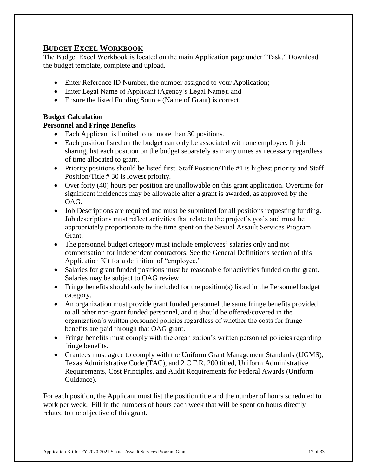## **BUDGET EXCEL WORKBOOK**

The Budget Excel Workbook is located on the main Application page under "Task." Download the budget template, complete and upload.

- Enter Reference ID Number, the number assigned to your Application;
- Enter Legal Name of Applicant (Agency's Legal Name); and
- Ensure the listed Funding Source (Name of Grant) is correct.

## **Budget Calculation**

## **Personnel and Fringe Benefits**

- Each Applicant is limited to no more than 30 positions.
- Each position listed on the budget can only be associated with one employee. If job sharing, list each position on the budget separately as many times as necessary regardless of time allocated to grant.
- Priority positions should be listed first. Staff Position/Title #1 is highest priority and Staff Position/Title # 30 is lowest priority.
- Over forty (40) hours per position are unallowable on this grant application. Overtime for significant incidences may be allowable after a grant is awarded, as approved by the OAG.
- Job Descriptions are required and must be submitted for all positions requesting funding. Job descriptions must reflect activities that relate to the project's goals and must be appropriately proportionate to the time spent on the Sexual Assault Services Program Grant.
- The personnel budget category must include employees' salaries only and not compensation for independent contractors. See the General Definitions section of this Application Kit for a definition of "employee."
- Salaries for grant funded positions must be reasonable for activities funded on the grant. Salaries may be subject to OAG review.
- Fringe benefits should only be included for the position(s) listed in the Personnel budget category.
- An organization must provide grant funded personnel the same fringe benefits provided to all other non-grant funded personnel, and it should be offered/covered in the organization's written personnel policies regardless of whether the costs for fringe benefits are paid through that OAG grant.
- Fringe benefits must comply with the organization's written personnel policies regarding fringe benefits.
- Grantees must agree to comply with the Uniform Grant Management Standards (UGMS), Texas Administrative Code (TAC), and 2 C.F.R. 200 titled, Uniform Administrative Requirements, Cost Principles, and Audit Requirements for Federal Awards (Uniform Guidance).

For each position, the Applicant must list the position title and the number of hours scheduled to work per week. Fill in the numbers of hours each week that will be spent on hours directly related to the objective of this grant.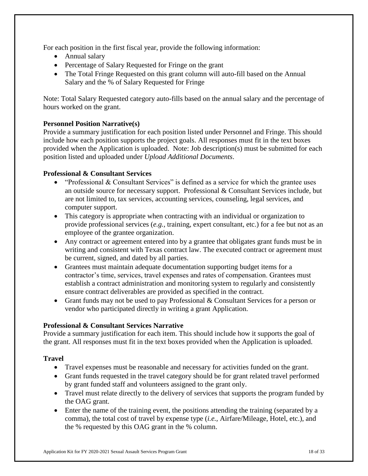For each position in the first fiscal year, provide the following information:

- Annual salary
- Percentage of Salary Requested for Fringe on the grant
- The Total Fringe Requested on this grant column will auto-fill based on the Annual Salary and the % of Salary Requested for Fringe

Note: Total Salary Requested category auto-fills based on the annual salary and the percentage of hours worked on the grant.

## **Personnel Position Narrative(s)**

Provide a summary justification for each position listed under Personnel and Fringe. This should include how each position supports the project goals. All responses must fit in the text boxes provided when the Application is uploaded. Note: Job description(s) must be submitted for each position listed and uploaded under *Upload Additional Documents*.

### **Professional & Consultant Services**

- "Professional  $&$  Consultant Services" is defined as a service for which the grantee uses an outside source for necessary support. Professional & Consultant Services include, but are not limited to, tax services, accounting services, counseling, legal services, and computer support.
- This category is appropriate when contracting with an individual or organization to provide professional services (*e.g.,* training, expert consultant, etc.) for a fee but not as an employee of the grantee organization.
- Any contract or agreement entered into by a grantee that obligates grant funds must be in writing and consistent with Texas contract law. The executed contract or agreement must be current, signed, and dated by all parties.
- Grantees must maintain adequate documentation supporting budget items for a contractor's time, services, travel expenses and rates of compensation. Grantees must establish a contract administration and monitoring system to regularly and consistently ensure contract deliverables are provided as specified in the contract.
- Grant funds may not be used to pay Professional & Consultant Services for a person or vendor who participated directly in writing a grant Application.

### **Professional & Consultant Services Narrative**

Provide a summary justification for each item. This should include how it supports the goal of the grant. All responses must fit in the text boxes provided when the Application is uploaded.

### **Travel**

- Travel expenses must be reasonable and necessary for activities funded on the grant.
- Grant funds requested in the travel category should be for grant related travel performed by grant funded staff and volunteers assigned to the grant only.
- Travel must relate directly to the delivery of services that supports the program funded by the OAG grant.
- Enter the name of the training event, the positions attending the training (separated by a comma), the total cost of travel by expense type (*i.e.,* Airfare/Mileage, Hotel, etc.), and the % requested by this OAG grant in the % column.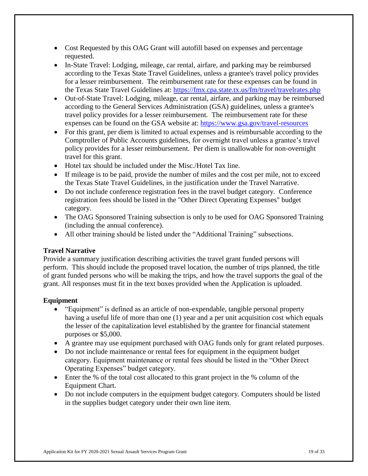- Cost Requested by this OAG Grant will autofill based on expenses and percentage requested.
- In-State Travel: Lodging, mileage, car rental, airfare, and parking may be reimbursed according to the Texas State Travel Guidelines, unless a grantee's travel policy provides for a lesser reimbursement. The reimbursement rate for these expenses can be found in the Texas State Travel Guidelines at:<https://fmx.cpa.state.tx.us/fm/travel/travelrates.php>
- Out-of-State Travel: Lodging, mileage, car rental, airfare, and parking may be reimbursed according to the General Services Administration (GSA) guidelines, unless a grantee's travel policy provides for a lesser reimbursement. The reimbursement rate for these expenses can be found on the GSA website at: <https://www.gsa.gov/travel-resources>
- For this grant, per diem is limited to actual expenses and is reimbursable according to the Comptroller of Public Accounts guidelines, for overnight travel unless a grantee's travel policy provides for a lesser reimbursement. Per diem is unallowable for non-overnight travel for this grant.
- Hotel tax should be included under the Misc./Hotel Tax line.
- If mileage is to be paid, provide the number of miles and the cost per mile, not to exceed the Texas State Travel Guidelines, in the justification under the Travel Narrative.
- Do not include conference registration fees in the travel budget category. Conference registration fees should be listed in the "Other Direct Operating Expenses" budget category.
- The OAG Sponsored Training subsection is only to be used for OAG Sponsored Training (including the annual conference).
- All other training should be listed under the "Additional Training" subsections.

### **Travel Narrative**

Provide a summary justification describing activities the travel grant funded persons will perform. This should include the proposed travel location, the number of trips planned, the title of grant funded persons who will be making the trips, and how the travel supports the goal of the grant. All responses must fit in the text boxes provided when the Application is uploaded.

### **Equipment**

- "Equipment" is defined as an article of non-expendable, tangible personal property having a useful life of more than one (1) year and a per unit acquisition cost which equals the lesser of the capitalization level established by the grantee for financial statement purposes or \$5,000.
- A grantee may use equipment purchased with OAG funds only for grant related purposes.
- Do not include maintenance or rental fees for equipment in the equipment budget category. Equipment maintenance or rental fees should be listed in the "Other Direct Operating Expenses" budget category.
- Enter the % of the total cost allocated to this grant project in the % column of the Equipment Chart.
- Do not include computers in the equipment budget category. Computers should be listed in the supplies budget category under their own line item.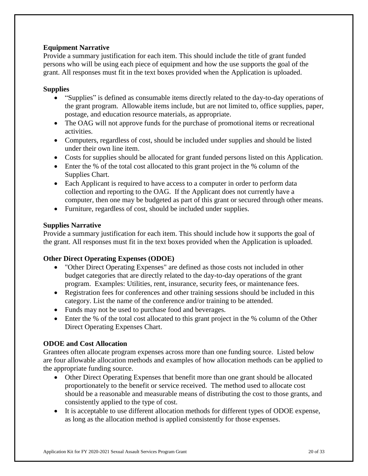## **Equipment Narrative**

Provide a summary justification for each item. This should include the title of grant funded persons who will be using each piece of equipment and how the use supports the goal of the grant. All responses must fit in the text boxes provided when the Application is uploaded.

### **Supplies**

- "Supplies" is defined as consumable items directly related to the day-to-day operations of the grant program. Allowable items include, but are not limited to, office supplies, paper, postage, and education resource materials, as appropriate.
- The OAG will not approve funds for the purchase of promotional items or recreational activities.
- Computers, regardless of cost, should be included under supplies and should be listed under their own line item.
- Costs for supplies should be allocated for grant funded persons listed on this Application.
- Enter the % of the total cost allocated to this grant project in the % column of the Supplies Chart.
- Each Applicant is required to have access to a computer in order to perform data collection and reporting to the OAG. If the Applicant does not currently have a computer, then one may be budgeted as part of this grant or secured through other means.
- Furniture, regardless of cost, should be included under supplies.

### **Supplies Narrative**

Provide a summary justification for each item. This should include how it supports the goal of the grant. All responses must fit in the text boxes provided when the Application is uploaded.

### **Other Direct Operating Expenses (ODOE)**

- "Other Direct Operating Expenses" are defined as those costs not included in other budget categories that are directly related to the day-to-day operations of the grant program. Examples: Utilities, rent, insurance, security fees, or maintenance fees.
- Registration fees for conferences and other training sessions should be included in this category. List the name of the conference and/or training to be attended.
- Funds may not be used to purchase food and beverages.
- Enter the % of the total cost allocated to this grant project in the % column of the Other Direct Operating Expenses Chart.

### **ODOE and Cost Allocation**

Grantees often allocate program expenses across more than one funding source. Listed below are four allowable allocation methods and examples of how allocation methods can be applied to the appropriate funding source.

- Other Direct Operating Expenses that benefit more than one grant should be allocated proportionately to the benefit or service received. The method used to allocate cost should be a reasonable and measurable means of distributing the cost to those grants, and consistently applied to the type of cost.
- It is acceptable to use different allocation methods for different types of ODOE expense, as long as the allocation method is applied consistently for those expenses.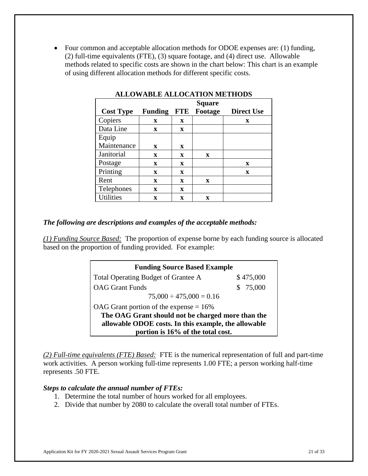Four common and acceptable allocation methods for ODOE expenses are: (1) funding, (2) full-time equivalents (FTE), (3) square footage, and (4) direct use. Allowable methods related to specific costs are shown in the chart below: This chart is an example of using different allocation methods for different specific costs.

|                  | <b>Square</b>  |             |                    |                   |
|------------------|----------------|-------------|--------------------|-------------------|
| <b>Cost Type</b> | <b>Funding</b> |             | <b>FTE</b> Footage | <b>Direct Use</b> |
| Copiers          | $\mathbf x$    | X           |                    | X                 |
| Data Line        | $\mathbf x$    | $\mathbf X$ |                    |                   |
| Equip            |                |             |                    |                   |
| Maintenance      | $\mathbf{x}$   | $\mathbf X$ |                    |                   |
| Janitorial       | $\mathbf x$    | $\mathbf X$ | $\mathbf X$        |                   |
| Postage          | $\mathbf x$    | $\mathbf x$ |                    | $\mathbf x$       |
| Printing         | $\mathbf x$    | $\mathbf X$ |                    | $\mathbf X$       |
| Rent             | $\mathbf x$    | $\mathbf x$ | $\mathbf{x}$       |                   |
| Telephones       | $\mathbf x$    | $\mathbf X$ |                    |                   |
| <b>Utilities</b> | X              | X           | X                  |                   |

**ALLOWABLE ALLOCATION METHODS**

### *The following are descriptions and examples of the acceptable methods:*

*(1) Funding Source Based:* The proportion of expense borne by each funding source is allocated based on the proportion of funding provided. For example:

| <b>Funding Source Based Example</b>                  |           |  |
|------------------------------------------------------|-----------|--|
| Total Operating Budget of Grantee A                  | \$475,000 |  |
| <b>OAG</b> Grant Funds                               | \$75,000  |  |
| $75,000 \div 475,000 = 0.16$                         |           |  |
| OAG Grant portion of the expense $= 16\%$            |           |  |
| The OAG Grant should not be charged more than the    |           |  |
| allowable ODOE costs. In this example, the allowable |           |  |
| portion is 16% of the total cost.                    |           |  |

*(2) Full-time equivalents (FTE) Based:* FTE is the numerical representation of full and part-time work activities. A person working full-time represents 1.00 FTE; a person working half-time represents .50 FTE.

### *Steps to calculate the annual number of FTEs:*

- 1. Determine the total number of hours worked for all employees.
- 2. Divide that number by 2080 to calculate the overall total number of FTEs.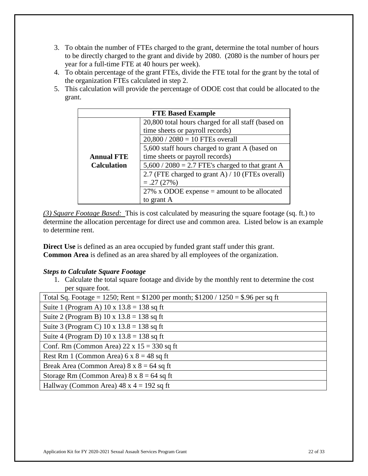- 3. To obtain the number of FTEs charged to the grant, determine the total number of hours to be directly charged to the grant and divide by 2080. (2080 is the number of hours per year for a full-time FTE at 40 hours per week).
- 4. To obtain percentage of the grant FTEs, divide the FTE total for the grant by the total of the organization FTEs calculated in step 2.
- 5. This calculation will provide the percentage of ODOE cost that could be allocated to the grant.

| <b>FTE Based Example</b> |                                                    |  |  |
|--------------------------|----------------------------------------------------|--|--|
|                          | 20,800 total hours charged for all staff (based on |  |  |
|                          | time sheets or payroll records)                    |  |  |
|                          | $20,800 / 2080 = 10$ FTEs overall                  |  |  |
|                          | 5,600 staff hours charged to grant A (based on     |  |  |
| <b>Annual FTE</b>        | time sheets or payroll records)                    |  |  |
| <b>Calculation</b>       | $5,600 / 2080 = 2.7$ FTE's charged to that grant A |  |  |
|                          | 2.7 (FTE charged to grant A) / 10 (FTEs overall)   |  |  |
|                          | $=.27(27%)$                                        |  |  |
|                          | $27\%$ x ODOE expense = amount to be allocated     |  |  |
|                          | to grant A                                         |  |  |

*(3) Square Footage Based:* This is cost calculated by measuring the square footage (sq. ft.) to determine the allocation percentage for direct use and common area. Listed below is an example to determine rent.

**Direct Use** is defined as an area occupied by funded grant staff under this grant. **Common Area** is defined as an area shared by all employees of the organization.

### *Steps to Calculate Square Footage*

1. Calculate the total square footage and divide by the monthly rent to determine the cost per square foot.

| Total Sq. Footage = 1250; Rent = $$1200$ per month; $$1200 / 1250 = $.96$ per sq ft |  |  |
|-------------------------------------------------------------------------------------|--|--|
| Suite 1 (Program A) $10 \times 13.8 = 138$ sq ft                                    |  |  |
| Suite 2 (Program B) $10 \times 13.8 = 138$ sq ft                                    |  |  |
| Suite 3 (Program C) $10 \times 13.8 = 138$ sq ft                                    |  |  |
| Suite 4 (Program D) 10 x $13.8 = 138$ sq ft                                         |  |  |
| Conf. Rm (Common Area) $22 \times 15 = 330$ sq ft                                   |  |  |
| Rest Rm 1 (Common Area) $6 \times 8 = 48$ sq ft                                     |  |  |
| Break Area (Common Area) $8 \times 8 = 64$ sq ft                                    |  |  |
| Storage Rm (Common Area) $8 \times 8 = 64$ sq ft                                    |  |  |
| Hallway (Common Area) $48 \times 4 = 192$ sq ft                                     |  |  |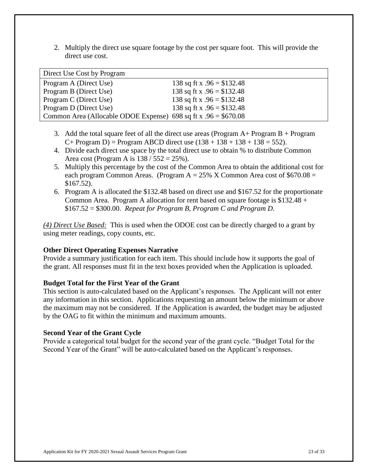2. Multiply the direct use square footage by the cost per square foot. This will provide the direct use cost.

| Direct Use Cost by Program                                       |                             |  |
|------------------------------------------------------------------|-----------------------------|--|
| Program A (Direct Use)                                           | 138 sq ft x $.96 = $132.48$ |  |
| Program B (Direct Use)                                           | 138 sq ft x $.96 = $132.48$ |  |
| Program C (Direct Use)                                           | 138 sq ft x $.96 = $132.48$ |  |
| Program D (Direct Use)                                           | 138 sq ft x $.96 = $132.48$ |  |
| Common Area (Allocable ODOE Expense) 698 sq ft x $.96 = $670.08$ |                             |  |

- 3. Add the total square feet of all the direct use areas (Program  $A+$  Program  $B+$  Program  $C+$  Program D) = Program ABCD direct use  $(138 + 138 + 138 + 138 = 552)$ .
- 4. Divide each direct use space by the total direct use to obtain % to distribute Common Area cost (Program A is  $138 / 552 = 25\%$ ).
- 5. Multiply this percentage by the cost of the Common Area to obtain the additional cost for each program Common Areas. (Program  $A = 25\%$  X Common Area cost of \$670.08 = \$167.52).
- 6. Program A is allocated the \$132.48 based on direct use and \$167.52 for the proportionate Common Area. Program A allocation for rent based on square footage is  $$132.48 +$ \$167.52 = \$300.00. *Repeat for Program B, Program C and Program D*.

*(4) Direct Use Based:* This is used when the ODOE cost can be directly charged to a grant by using meter readings, copy counts, etc.

### **Other Direct Operating Expenses Narrative**

Provide a summary justification for each item. This should include how it supports the goal of the grant. All responses must fit in the text boxes provided when the Application is uploaded.

### **Budget Total for the First Year of the Grant**

This section is auto-calculated based on the Applicant's responses. The Applicant will not enter any information in this section. Applications requesting an amount below the minimum or above the maximum may not be considered. If the Application is awarded, the budget may be adjusted by the OAG to fit within the minimum and maximum amounts.

### **Second Year of the Grant Cycle**

Provide a categorical total budget for the second year of the grant cycle. "Budget Total for the Second Year of the Grant" will be auto-calculated based on the Applicant's responses.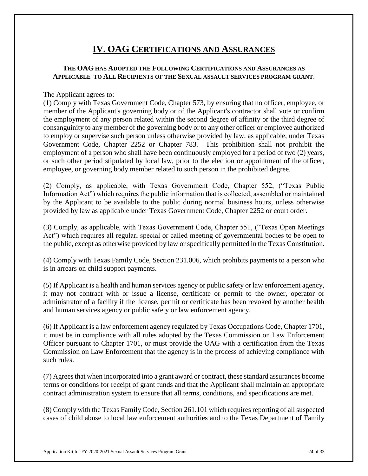## **IV. OAG CERTIFICATIONS AND ASSURANCES**

## **THE OAG HAS ADOPTED THE FOLLOWING CERTIFICATIONS AND ASSURANCES AS APPLICABLE TO ALL RECIPIENTS OF THE SEXUAL ASSAULT SERVICES PROGRAM GRANT**.

The Applicant agrees to:

(1) Comply with Texas Government Code, Chapter 573, by ensuring that no officer, employee, or member of the Applicant's governing body or of the Applicant's contractor shall vote or confirm the employment of any person related within the second degree of affinity or the third degree of consanguinity to any member of the governing body or to any other officer or employee authorized to employ or supervise such person unless otherwise provided by law, as applicable, under Texas Government Code, Chapter 2252 or Chapter 783. This prohibition shall not prohibit the employment of a person who shall have been continuously employed for a period of two (2) years, or such other period stipulated by local law, prior to the election or appointment of the officer, employee, or governing body member related to such person in the prohibited degree.

(2) Comply, as applicable, with Texas Government Code, Chapter 552, ("Texas Public Information Act") which requires the public information that is collected, assembled or maintained by the Applicant to be available to the public during normal business hours, unless otherwise provided by law as applicable under Texas Government Code, Chapter 2252 or court order.

(3) Comply, as applicable, with Texas Government Code, Chapter 551, ("Texas Open Meetings Act") which requires all regular, special or called meeting of governmental bodies to be open to the public, except as otherwise provided by law or specifically permitted in the Texas Constitution.

(4) Comply with Texas Family Code, Section 231.006, which prohibits payments to a person who is in arrears on child support payments.

(5) If Applicant is a health and human services agency or public safety or law enforcement agency, it may not contract with or issue a license, certificate or permit to the owner, operator or administrator of a facility if the license, permit or certificate has been revoked by another health and human services agency or public safety or law enforcement agency.

(6) If Applicant is a law enforcement agency regulated by Texas Occupations Code, Chapter 1701, it must be in compliance with all rules adopted by the Texas Commission on Law Enforcement Officer pursuant to Chapter 1701, or must provide the OAG with a certification from the Texas Commission on Law Enforcement that the agency is in the process of achieving compliance with such rules.

(7) Agrees that when incorporated into a grant award or contract, these standard assurances become terms or conditions for receipt of grant funds and that the Applicant shall maintain an appropriate contract administration system to ensure that all terms, conditions, and specifications are met.

(8) Comply with the Texas Family Code, Section 261.101 which requires reporting of all suspected cases of child abuse to local law enforcement authorities and to the Texas Department of Family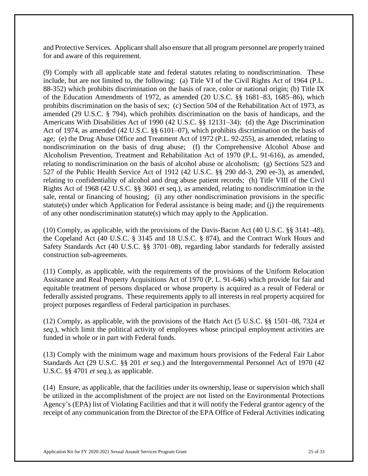and Protective Services. Applicant shall also ensure that all program personnel are properly trained for and aware of this requirement.

(9) Comply with all applicable state and federal statutes relating to nondiscrimination. These include, but are not limited to, the following: (a) Title VI of the Civil Rights Act of 1964 (P.L. 88-352) which prohibits discrimination on the basis of race, color or national origin; (b) Title IX of the Education Amendments of 1972, as amended (20 U.S.C. §§ 1681–83, 1685–86), which prohibits discrimination on the basis of sex; (c) Section 504 of the Rehabilitation Act of 1973, as amended (29 U.S.C. § 794), which prohibits discrimination on the basis of handicaps, and the Americans With Disabilities Act of 1990 (42 U.S.C. §§ 12131–34); (d) the Age Discrimination Act of 1974, as amended (42 U.S.C. §§ 6101–07), which prohibits discrimination on the basis of age; (e) the Drug Abuse Office and Treatment Act of 1972 (P.L. 92-255), as amended, relating to nondiscrimination on the basis of drug abuse; (f) the Comprehensive Alcohol Abuse and Alcoholism Prevention, Treatment and Rehabilitation Act of 1970 (P.L. 91-616), as amended, relating to nondiscrimination on the basis of alcohol abuse or alcoholism; (g) Sections 523 and 527 of the Public Health Service Act of 1912 (42 U.S.C. §§ 290 dd-3, 290 ee-3), as amended, relating to confidentiality of alcohol and drug abuse patient records; (h) Title VIII of the Civil Rights Act of 1968 (42 U.S.C. §§ 3601 et seq.), as amended, relating to nondiscrimination in the sale, rental or financing of housing; (i) any other nondiscrimination provisions in the specific statute(s) under which Application for Federal assistance is being made; and (j) the requirements of any other nondiscrimination statute(s) which may apply to the Application.

(10) Comply, as applicable, with the provisions of the Davis-Bacon Act (40 U.S.C. §§ 3141–48), the Copeland Act (40 U.S.C. § 3145 and 18 U.S.C. § 874), and the Contract Work Hours and Safety Standards Act (40 U.S.C. §§ 3701–08), regarding labor standards for federally assisted construction sub-agreements.

(11) Comply, as applicable, with the requirements of the provisions of the Uniform Relocation Assistance and Real Property Acquisitions Act of 1970 (P. L. 91-646) which provide for fair and equitable treatment of persons displaced or whose property is acquired as a result of Federal or federally assisted programs. These requirements apply to all interests in real property acquired for project purposes regardless of Federal participation in purchases.

(12) Comply, as applicable, with the provisions of the Hatch Act (5 U.S.C. §§ 1501–08, 7324 *et seq.*), which limit the political activity of employees whose principal employment activities are funded in whole or in part with Federal funds.

(13) Comply with the minimum wage and maximum hours provisions of the Federal Fair Labor Standards Act (29 U.S.C. §§ 201 *et seq.*) and the Intergovernmental Personnel Act of 1970 (42 U.S.C. §§ 4701 *et seq.*), as applicable.

(14) Ensure, as applicable, that the facilities under its ownership, lease or supervision which shall be utilized in the accomplishment of the project are not listed on the Environmental Protections Agency's (EPA) list of Violating Facilities and that it will notify the Federal grantor agency of the receipt of any communication from the Director of the EPA Office of Federal Activities indicating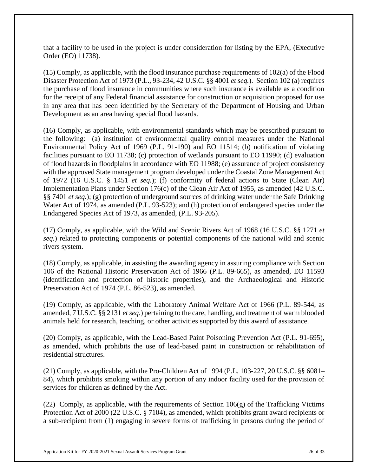that a facility to be used in the project is under consideration for listing by the EPA, (Executive Order (EO) 11738).

(15) Comply, as applicable, with the flood insurance purchase requirements of 102(a) of the Flood Disaster Protection Act of 1973 (P.L., 93-234, 42 U.S.C. §§ 4001 *et seq.*). Section 102 (a) requires the purchase of flood insurance in communities where such insurance is available as a condition for the receipt of any Federal financial assistance for construction or acquisition proposed for use in any area that has been identified by the Secretary of the Department of Housing and Urban Development as an area having special flood hazards.

(16) Comply, as applicable, with environmental standards which may be prescribed pursuant to the following: (a) institution of environmental quality control measures under the National Environmental Policy Act of 1969 (P.L. 91-190) and EO 11514; (b) notification of violating facilities pursuant to EO 11738; (c) protection of wetlands pursuant to EO 11990; (d) evaluation of flood hazards in floodplains in accordance with EO 11988; (e) assurance of project consistency with the approved State management program developed under the Coastal Zone Management Act of 1972 (16 U.S.C. § 1451 *et seq.*); (f) conformity of federal actions to State (Clean Air) Implementation Plans under Section 176(c) of the Clean Air Act of 1955, as amended (42 U.S.C. §§ 7401 *et seq.*); (g) protection of underground sources of drinking water under the Safe Drinking Water Act of 1974, as amended (P.L. 93-523); and (h) protection of endangered species under the Endangered Species Act of 1973, as amended, (P.L. 93-205).

(17) Comply, as applicable, with the Wild and Scenic Rivers Act of 1968 (16 U.S.C. §§ 1271 *et seq.*) related to protecting components or potential components of the national wild and scenic rivers system.

(18) Comply, as applicable, in assisting the awarding agency in assuring compliance with Section 106 of the National Historic Preservation Act of 1966 (P.L. 89-665), as amended, EO 11593 (identification and protection of historic properties), and the Archaeological and Historic Preservation Act of 1974 (P.L. 86-523), as amended.

(19) Comply, as applicable, with the Laboratory Animal Welfare Act of 1966 (P.L. 89-544, as amended, 7 U.S.C. §§ 2131 *et seq.*) pertaining to the care, handling, and treatment of warm blooded animals held for research, teaching, or other activities supported by this award of assistance.

(20) Comply, as applicable, with the Lead-Based Paint Poisoning Prevention Act (P.L. 91-695), as amended, which prohibits the use of lead-based paint in construction or rehabilitation of residential structures.

(21) Comply, as applicable, with the Pro-Children Act of 1994 (P.L. 103-227, 20 U.S.C. §§ 6081– 84), which prohibits smoking within any portion of any indoor facility used for the provision of services for children as defined by the Act.

(22) Comply, as applicable, with the requirements of Section  $106(g)$  of the Trafficking Victims Protection Act of 2000 (22 U.S.C. § 7104), as amended, which prohibits grant award recipients or a sub-recipient from (1) engaging in severe forms of trafficking in persons during the period of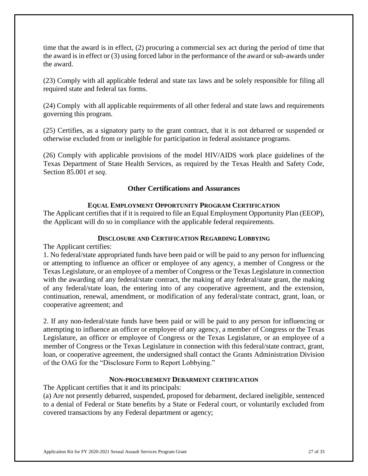time that the award is in effect, (2) procuring a commercial sex act during the period of time that the award is in effect or (3) using forced labor in the performance of the award or sub-awards under the award.

(23) Comply with all applicable federal and state tax laws and be solely responsible for filing all required state and federal tax forms.

(24) Comply with all applicable requirements of all other federal and state laws and requirements governing this program.

(25) Certifies, as a signatory party to the grant contract, that it is not debarred or suspended or otherwise excluded from or ineligible for participation in federal assistance programs.

(26) Comply with applicable provisions of the model HIV/AIDS work place guidelines of the Texas Department of State Health Services, as required by the Texas Health and Safety Code, Section 85.001 *et seq*.

### **Other Certifications and Assurances**

#### **EQUAL EMPLOYMENT OPPORTUNITY PROGRAM CERTIFICATION**

The Applicant certifies that if it is required to file an Equal Employment Opportunity Plan (EEOP), the Applicant will do so in compliance with the applicable federal requirements.

#### **DISCLOSURE AND CERTIFICATION REGARDING LOBBYING**

The Applicant certifies:

1. No federal/state appropriated funds have been paid or will be paid to any person for influencing or attempting to influence an officer or employee of any agency, a member of Congress or the Texas Legislature, or an employee of a member of Congress or the Texas Legislature in connection with the awarding of any federal/state contract, the making of any federal/state grant, the making of any federal/state loan, the entering into of any cooperative agreement, and the extension, continuation, renewal, amendment, or modification of any federal/state contract, grant, loan, or cooperative agreement; and

2. If any non-federal/state funds have been paid or will be paid to any person for influencing or attempting to influence an officer or employee of any agency, a member of Congress or the Texas Legislature, an officer or employee of Congress or the Texas Legislature, or an employee of a member of Congress or the Texas Legislature in connection with this federal/state contract, grant, loan, or cooperative agreement, the undersigned shall contact the Grants Administration Division of the OAG for the "Disclosure Form to Report Lobbying."

#### **NON-PROCUREMENT DEBARMENT CERTIFICATION**

The Applicant certifies that it and its principals:

(a) Are not presently debarred, suspended, proposed for debarment, declared ineligible, sentenced to a denial of Federal or State benefits by a State or Federal court, or voluntarily excluded from covered transactions by any Federal department or agency;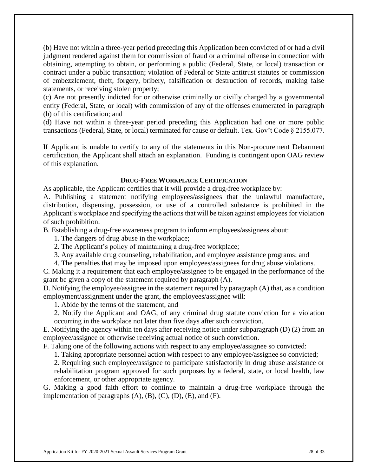(b) Have not within a three-year period preceding this Application been convicted of or had a civil judgment rendered against them for commission of fraud or a criminal offense in connection with obtaining, attempting to obtain, or performing a public (Federal, State, or local) transaction or contract under a public transaction; violation of Federal or State antitrust statutes or commission of embezzlement, theft, forgery, bribery, falsification or destruction of records, making false statements, or receiving stolen property;

(c) Are not presently indicted for or otherwise criminally or civilly charged by a governmental entity (Federal, State, or local) with commission of any of the offenses enumerated in paragraph (b) of this certification; and

(d) Have not within a three-year period preceding this Application had one or more public transactions (Federal, State, or local) terminated for cause or default. Tex. Gov't Code § 2155.077.

If Applicant is unable to certify to any of the statements in this Non-procurement Debarment certification, the Applicant shall attach an explanation. Funding is contingent upon OAG review of this explanation.

#### **DRUG-FREE WORKPLACE CERTIFICATION**

As applicable, the Applicant certifies that it will provide a drug-free workplace by:

A. Publishing a statement notifying employees/assignees that the unlawful manufacture, distribution, dispensing, possession, or use of a controlled substance is prohibited in the Applicant's workplace and specifying the actions that will be taken against employees for violation of such prohibition.

B. Establishing a drug-free awareness program to inform employees/assignees about:

1. The dangers of drug abuse in the workplace;

- 2. The Applicant's policy of maintaining a drug-free workplace;
- 3. Any available drug counseling, rehabilitation, and employee assistance programs; and

4. The penalties that may be imposed upon employees/assignees for drug abuse violations.

C. Making it a requirement that each employee/assignee to be engaged in the performance of the grant be given a copy of the statement required by paragraph (A).

D. Notifying the employee/assignee in the statement required by paragraph (A) that, as a condition employment/assignment under the grant, the employees/assignee will:

1. Abide by the terms of the statement, and

2. Notify the Applicant and OAG, of any criminal drug statute conviction for a violation occurring in the workplace not later than five days after such conviction.

E. Notifying the agency within ten days after receiving notice under subparagraph (D) (2) from an employee/assignee or otherwise receiving actual notice of such conviction.

F. Taking one of the following actions with respect to any employee/assignee so convicted:

1. Taking appropriate personnel action with respect to any employee/assignee so convicted;

2. Requiring such employee/assignee to participate satisfactorily in drug abuse assistance or rehabilitation program approved for such purposes by a federal, state, or local health, law enforcement, or other appropriate agency.

G. Making a good faith effort to continue to maintain a drug-free workplace through the implementation of paragraphs  $(A)$ ,  $(B)$ ,  $(C)$ ,  $(D)$ ,  $(E)$ , and  $(F)$ .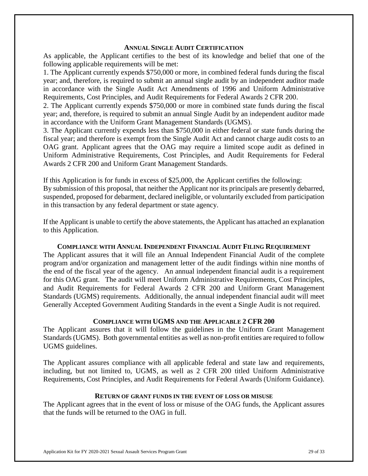#### **ANNUAL SINGLE AUDIT CERTIFICATION**

As applicable, the Applicant certifies to the best of its knowledge and belief that one of the following applicable requirements will be met:

1. The Applicant currently expends \$750,000 or more, in combined federal funds during the fiscal year; and, therefore, is required to submit an annual single audit by an independent auditor made in accordance with the Single Audit Act Amendments of 1996 and Uniform Administrative Requirements, Cost Principles, and Audit Requirements for Federal Awards 2 CFR 200.

2. The Applicant currently expends \$750,000 or more in combined state funds during the fiscal year; and, therefore, is required to submit an annual Single Audit by an independent auditor made in accordance with the Uniform Grant Management Standards (UGMS).

3. The Applicant currently expends less than \$750,000 in either federal or state funds during the fiscal year; and therefore is exempt from the Single Audit Act and cannot charge audit costs to an OAG grant. Applicant agrees that the OAG may require a limited scope audit as defined in Uniform Administrative Requirements, Cost Principles, and Audit Requirements for Federal Awards 2 CFR 200 and Uniform Grant Management Standards.

If this Application is for funds in excess of \$25,000, the Applicant certifies the following: By submission of this proposal, that neither the Applicant nor its principals are presently debarred, suspended, proposed for debarment, declared ineligible, or voluntarily excluded from participation in this transaction by any federal department or state agency.

If the Applicant is unable to certify the above statements, the Applicant has attached an explanation to this Application.

#### **COMPLIANCE WITH ANNUAL INDEPENDENT FINANCIAL AUDIT FILING REQUIREMENT**

The Applicant assures that it will file an Annual Independent Financial Audit of the complete program and/or organization and management letter of the audit findings within nine months of the end of the fiscal year of the agency. An annual independent financial audit is a requirement for this OAG grant. The audit will meet Uniform Administrative Requirements, Cost Principles, and Audit Requirements for Federal Awards 2 CFR 200 and Uniform Grant Management Standards (UGMS) requirements. Additionally, the annual independent financial audit will meet Generally Accepted Government Auditing Standards in the event a Single Audit is not required.

#### **COMPLIANCE WITH UGMS AND THE APPLICABLE 2 CFR 200**

The Applicant assures that it will follow the guidelines in the Uniform Grant Management Standards (UGMS). Both governmental entities as well as non-profit entities are required to follow UGMS guidelines.

The Applicant assures compliance with all applicable federal and state law and requirements, including, but not limited to, UGMS, as well as 2 CFR 200 titled Uniform Administrative Requirements, Cost Principles, and Audit Requirements for Federal Awards (Uniform Guidance).

#### **RETURN OF GRANT FUNDS IN THE EVENT OF LOSS OR MISUSE**

The Applicant agrees that in the event of loss or misuse of the OAG funds, the Applicant assures that the funds will be returned to the OAG in full.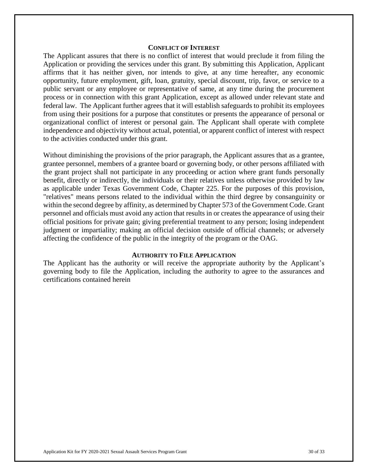#### **CONFLICT OF INTEREST**

The Applicant assures that there is no conflict of interest that would preclude it from filing the Application or providing the services under this grant. By submitting this Application, Applicant affirms that it has neither given, nor intends to give, at any time hereafter, any economic opportunity, future employment, gift, loan, gratuity, special discount, trip, favor, or service to a public servant or any employee or representative of same, at any time during the procurement process or in connection with this grant Application, except as allowed under relevant state and federal law. The Applicant further agrees that it will establish safeguards to prohibit its employees from using their positions for a purpose that constitutes or presents the appearance of personal or organizational conflict of interest or personal gain. The Applicant shall operate with complete independence and objectivity without actual, potential, or apparent conflict of interest with respect to the activities conducted under this grant.

Without diminishing the provisions of the prior paragraph, the Applicant assures that as a grantee, grantee personnel, members of a grantee board or governing body, or other persons affiliated with the grant project shall not participate in any proceeding or action where grant funds personally benefit, directly or indirectly, the individuals or their relatives unless otherwise provided by law as applicable under Texas Government Code, Chapter 225. For the purposes of this provision, "relatives" means persons related to the individual within the third degree by consanguinity or within the second degree by affinity, as determined by Chapter 573 of the Government Code. Grant personnel and officials must avoid any action that results in or creates the appearance of using their official positions for private gain; giving preferential treatment to any person; losing independent judgment or impartiality; making an official decision outside of official channels; or adversely affecting the confidence of the public in the integrity of the program or the OAG.

#### **AUTHORITY TO FILE APPLICATION**

The Applicant has the authority or will receive the appropriate authority by the Applicant's governing body to file the Application, including the authority to agree to the assurances and certifications contained herein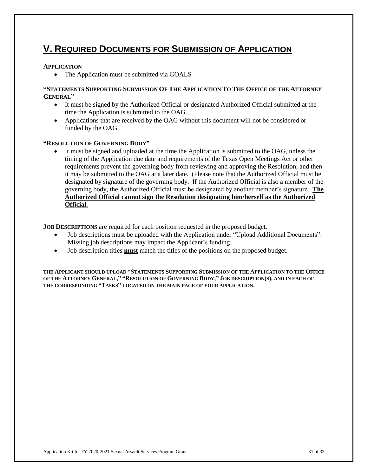## **V. REQUIRED DOCUMENTS FOR SUBMISSION OF APPLICATION**

#### **APPLICATION**

• The Application must be submitted via GOALS

#### **"STATEMENTS SUPPORTING SUBMISSION OF THE APPLICATION TO THE OFFICE OF THE ATTORNEY GENERAL"**

- It must be signed by the Authorized Official or designated Authorized Official submitted at the time the Application is submitted to the OAG.
- Applications that are received by the OAG without this document will not be considered or funded by the OAG.

#### **"RESOLUTION OF GOVERNING BODY"**

 It must be signed and uploaded at the time the Application is submitted to the OAG, unless the timing of the Application due date and requirements of the Texas Open Meetings Act or other requirements prevent the governing body from reviewing and approving the Resolution, and then it may be submitted to the OAG at a later date. (Please note that the Authorized Official must be designated by signature of the governing body. If the Authorized Official is also a member of the governing body, the Authorized Official must be designated by another member's signature. **The Authorized Official cannot sign the Resolution designating him/herself as the Authorized Official.**

**JOB DESCRIPTIONS** are required for each position requested in the proposed budget.

- Job descriptions must be uploaded with the Application under "Upload Additional Documents". Missing job descriptions may impact the Applicant's funding.
- Job description titles **must** match the titles of the positions on the proposed budget.

**THE APPLICANT SHOULD UPLOAD "STATEMENTS SUPPORTING SUBMISSION OF THE APPLICATION TO THE OFFICE**  OF THE ATTORNEY GENERAL," "RESOLUTION OF GOVERNING BODY," JOB DESCRIPTION(S), AND IN EACH OF **THE CORRESPONDING "TASKS" LOCATED ON THE MAIN PAGE OF YOUR APPLICATION.**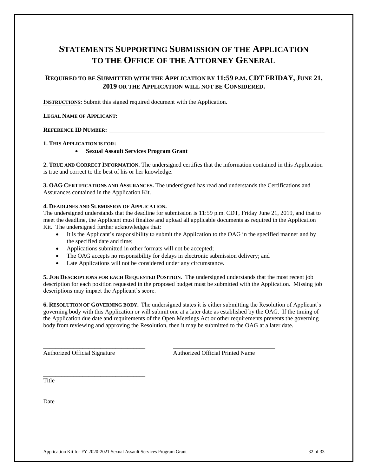## **STATEMENTS SUPPORTING SUBMISSION OF THE APPLICATION TO THE OFFICE OF THE ATTORNEY GENERAL**

#### **REQUIRED TO BE SUBMITTED WITH THE APPLICATION BY 11:59 P.M. CDT FRIDAY, JUNE 21, 2019 OR THE APPLICATION WILL NOT BE CONSIDERED.**

**INSTRUCTIONS:** Submit this signed required document with the Application.

#### **LEGAL NAME OF APPLICANT:**

#### **REFERENCE ID NUMBER:**

#### **1. THIS APPLICATION IS FOR:**

#### **Sexual Assault Services Program Grant**

**2. TRUE AND CORRECT INFORMATION.** The undersigned certifies that the information contained in this Application is true and correct to the best of his or her knowledge.

**3. OAG CERTIFICATIONS AND ASSURANCES.** The undersigned has read and understands the Certifications and Assurances contained in the Application Kit.

#### **4. DEADLINES AND SUBMISSION OF APPLICATION.**

The undersigned understands that the deadline for submission is 11:59 p.m. CDT, Friday June 21, 2019, and that to meet the deadline, the Applicant must finalize and upload all applicable documents as required in the Application Kit. The undersigned further acknowledges that:

- It is the Applicant's responsibility to submit the Application to the OAG in the specified manner and by the specified date and time;
- Applications submitted in other formats will not be accepted;
- The OAG accepts no responsibility for delays in electronic submission delivery; and

\_\_\_\_\_\_\_\_\_\_\_\_\_\_\_\_\_\_\_\_\_\_\_\_\_\_\_\_\_\_\_\_\_\_ \_\_\_\_\_\_\_\_\_\_\_\_\_\_\_\_\_\_\_\_\_\_\_\_\_\_\_\_\_\_\_\_\_\_

Late Applications will not be considered under any circumstance.

**5. JOB DESCRIPTIONS FOR EACH REQUESTED POSITION**. The undersigned understands that the most recent job description for each position requested in the proposed budget must be submitted with the Application. Missing job descriptions may impact the Applicant's score.

**6. RESOLUTION OF GOVERNING BODY.** The undersigned states it is either submitting the Resolution of Applicant's governing body with this Application or will submit one at a later date as established by the OAG. If the timing of the Application due date and requirements of the Open Meetings Act or other requirements prevents the governing body from reviewing and approving the Resolution, then it may be submitted to the OAG at a later date.

\_\_\_\_\_\_\_\_\_\_\_\_\_\_\_\_\_\_\_\_\_\_\_\_\_\_\_\_\_\_\_\_\_\_

\_\_\_\_\_\_\_\_\_\_\_\_\_\_\_\_\_\_\_\_\_\_\_\_\_\_\_\_\_\_\_\_\_

Authorized Official Signature Authorized Official Printed Name

Title

Date